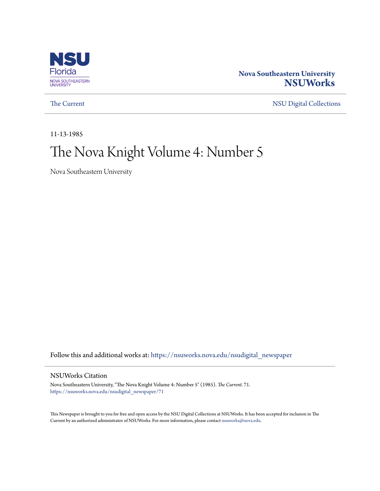

# **Nova Southeastern University [NSUWorks](https://nsuworks.nova.edu?utm_source=nsuworks.nova.edu%2Fnsudigital_newspaper%2F71&utm_medium=PDF&utm_campaign=PDFCoverPages)**

[The Current](https://nsuworks.nova.edu/nsudigital_newspaper?utm_source=nsuworks.nova.edu%2Fnsudigital_newspaper%2F71&utm_medium=PDF&utm_campaign=PDFCoverPages) [NSU Digital Collections](https://nsuworks.nova.edu/nsudigital?utm_source=nsuworks.nova.edu%2Fnsudigital_newspaper%2F71&utm_medium=PDF&utm_campaign=PDFCoverPages)

11-13-1985

# The Nova Knight Volume 4: Number 5

Nova Southeastern University

Follow this and additional works at: [https://nsuworks.nova.edu/nsudigital\\_newspaper](https://nsuworks.nova.edu/nsudigital_newspaper?utm_source=nsuworks.nova.edu%2Fnsudigital_newspaper%2F71&utm_medium=PDF&utm_campaign=PDFCoverPages)

# NSUWorks Citation

Nova Southeastern University, "The Nova Knight Volume 4: Number 5" (1985). *The Current*. 71. [https://nsuworks.nova.edu/nsudigital\\_newspaper/71](https://nsuworks.nova.edu/nsudigital_newspaper/71?utm_source=nsuworks.nova.edu%2Fnsudigital_newspaper%2F71&utm_medium=PDF&utm_campaign=PDFCoverPages)

This Newspaper is brought to you for free and open access by the NSU Digital Collections at NSUWorks. It has been accepted for inclusion in The Current by an authorized administrator of NSUWorks. For more information, please contact [nsuworks@nova.edu.](mailto:nsuworks@nova.edu)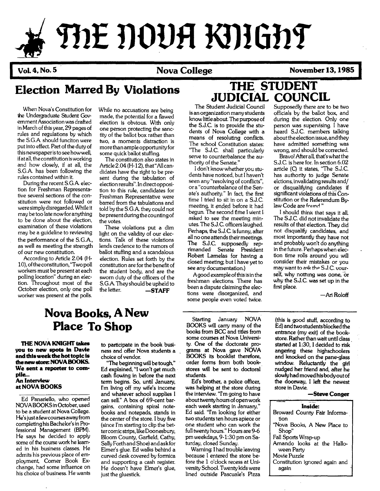# mE **DOUR KnlGhf**

Vol. 4, No. 5 November 13, 1985

officials by the ballot box, and during the election. Only one person was supervising. I have heard S.J.C. members talking aboutthe election issue, and they have admitted something was wrong, and should be corrected. Bravo! After all, that's what the S.J.C. is here for. In section 6.02 article (C) it states, "The S.J.C. has authority to judge Senate elctions, invalidating results and/ or disqualifying candidates if significant violations of this  $\bar{C}$ onstitution or the Referendum By-

law Code are found"

first place.

I should think that says it all. The S.J.C. did not invalidate the results of that election. They did not disqualify candidates, and most importantly they have not and probably won't do anything in the future. Perhaps when election time rolls around you will consider their mistakes or you may want to ask the S.J.C. vourself, why nothing was done, or why the S.J.C. was set up in the

# **Election Marred By Violations THE STUDENT**

When Nova's Constitution for the Undergraduate Student Government Association was drafted in March of this year, 29 pages of rules and regulations by which the S.GA should funciton were put into effect. Part of the duty of this newspaperisto see howwell, ifat all, the constitution isworking and how closely, if at all, the S.GA has been following the rules contained within it.

During the recent S.GA election for Freshman Representative several sections of the constitution were not followed or were simply disregarded. While it may be too late now for anything to be done about the election, examination of these violations may be a quideline to reviewing the performance of the S.G.A., as well as meeting the strength of our new constitution.

According to Article 2.04 (H-10), ofthe constitution, "Twopoll workers must be present at each polling location" during an election. Throughout most of the October election, only one poll worker was present at the polls.

While no accusations are being made, the potential for a flawed election is obvious. With only one person protecting the sanctity of the ballot box rather than two, a moments distraction is more than ample opportunity for some quick ballot stuffing.

The constitution also states in Article 2.04 (H-12), that "Allcandidates have the right to be present during the tabulation of election results". In directopposition to this rule, candidates for Freshman Representative were barred from the tabulations and told by the S.GA they could not be presentduring the countingof the votes.

These violations put a dim light on the validity of our elections. Talk of these violations lends credence to the rumors of ballot stuffing and a scandalous election. Rules set forth by the constitution are for the benefit of the student body, and are the sworn duty of the officers of the S.G.A. They should be upheld to<br>the letter.  $-$ 

 $-$ STAFF

# **JUDICIAL COUNCIL** Supposedly there are to be two

The Student Judicial Council is an organization many students know little about. The purpose of the S.J.C. is to provide the students of Nova College with a means of resoluting conflicts. The school Constitution states: "The S.J.C. shall particularly serve to counterbalance the authority of the Senate."

i don't know whether you students have noticed, but I haven't seen any "resolving of conflicts", or a "counterbalance of the Senate's authority." In fact, the first time I tried to sit in on a S.J.C. meeting, it ended before it had begun. The second fime I went I asked to see the meeting minutes. The S.J.C. officers laughed. Perhaps, the S.J.C. is funny, after all no one attends their meetings. The S.J.C. supposedly reprimanded Senate President Robert Lamelas for having a closed meeting; but I have yet to see any documentation.)

Agood example ofthisisin the freshman elections. There has been a dispute claiming the elections were disorganized, and some people even voted twice.

# **Nova Books, A New Place To Shop**

THE NOVA KNIGHT takes you to new spots In Davie and this week the hot topic is thenewstore: NOVABOOKS. We sent a reporter to complle-.. An Interview at NOVA BOOKS

Ed Panariello, who opened NOVABOOKSinOctober, used to be a student at Nova College. He's just a few courses away from completing his Bachelor'sin Professional Management (BPM). He says he decided to apply some of the course work he learned in his business classes. He admits his previous place of employment, Comer Book Exchange, had some influence on his choice of business. He wants

to participate in the book business and offer Nova students a choice of vendor.

"The beginning will be tough," Ed explained, "I won't get much· cash flowing in before the next term begins. So, until January, fm living off my wife's income and whatever school supplies I can sell." A box of 69-cent barqains, containing spiral notebooks and notepads, stands in the center of the store. I buy five (since I'm starting to clip the bettercomicstrips, likeDoonesbury, Bloom County, Garfield, Cathy, Sally Forthand Shoe) and askfor Elmer's glue. Ed walks behind a curved desk covered by formica and supporting a cash register. He doesn't have Elmer's glue, just the gluestick.

Starting January NOVA BOOKS will carry many of the books from BCC and titles from some courses at Nova University. One of the doctorate programs at Nova gave NOVA BOOKS its booklist therefore, order forms from both bookstores will be sent to doctoral students.

Ed's brother, a police officer, was helping at the store during the interview. "fm going to have about twenty hours of open work each week starting in January," Ed said. 'Tm looking for either two students ten hours apiece or one student who can work the full twenty hours." Hours are 9-6 pm weekdays, 9-1:30 pm on Saturday, closed Sunday.

Warning: Ihad trouble leaving because I entered the store before the 1 o'clock recess at University SchooL Twenty kids were lined outside Pascuale's Pizza

(this is good stuff, according to Ed) and twostudentsblockedthe entrance (my exit) of the bookstore. Rather than wait until class started at 1:30, I decided to risk angering these highschoolers and knocked on the pane-glass window. Reluctantly the girl nudged her friend and, after he slowlyhad moved his bodyoutof the doorway, I left the newest store in Davie.

#### -Steve Conger

-Ari Roloff

| Inside:                                  |  |  |  |  |  |  |  |
|------------------------------------------|--|--|--|--|--|--|--|
| Broward County Fair Informa-<br>tion     |  |  |  |  |  |  |  |
|                                          |  |  |  |  |  |  |  |
| "Nova Books, A New Place to              |  |  |  |  |  |  |  |
| Shop"                                    |  |  |  |  |  |  |  |
| Fall Sports Wrap-up                      |  |  |  |  |  |  |  |
| Amando looks at the Hallo-<br>ween Party |  |  |  |  |  |  |  |
| Movie Puzzle                             |  |  |  |  |  |  |  |
| Constitution ignored again and<br>again  |  |  |  |  |  |  |  |
|                                          |  |  |  |  |  |  |  |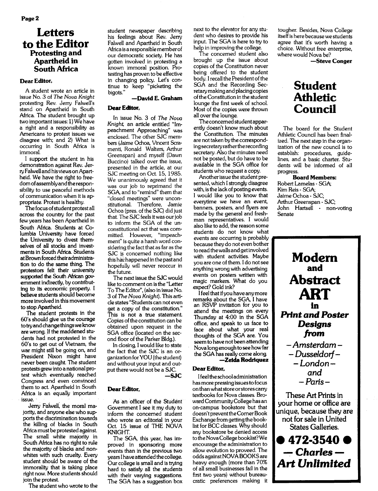# **Letters** to the Editor Protesting and Apartheid in South Africa

### Dear Editor,

A student wrote an article in issue No.3 of *The Nova Knight* protesting Rev. Jerry Falwell's stand on Apartheid in South Africa. The student brought up two important issues: 1) We have a right and a responsibility as Americans to protest issues we disagree with; and 2) What is occurring in South Africa is immoral.

I support the student in his demonstration against Rev. JerryFalwellandhisviewsonApartheid. We have the right to freedomofassemblyand the responsibility to use peaceful methods of communication when it is appropriate. Protest is healthy.

The focus of student protest all across the country for the past few years has been Apartheid in South Africa. Students at Columbia University have forced the University to divest themselves of all stocks and investments in South Africa. Students atBrown forced theiradministra· tion to do the same thing. The protestors felt their university supported the South African govemment indirectly, by contributing to its economic property. I believe students should become more involved in this movement to stop Apartheid.

The student protests in the 60's should give us the courage totryand change thingswe know are wrong. If the maddened students had not protested in the 60's to get out of Vietnam, the war might still be going on, and President Nixon might have never been caught. The student protests grew into a national protest which eventually reached Congress and even convinced them to act. Apartheid in South Africa is an equally important issue...

Jerry Falwell, the moral majority, and anyone else who supports the discrimination towards the killing of blacks in South Africa must be protested against. The small white majority in South Africa has no right to rule the majority of blacks and nonwhites with such cruelty. Every student should be aware of the immorality that is taking place right now. More students should join the protest.

The student who wrote to the

student newspaper describing his feelings about Rev. Jerry Falwell and Apartheid in South Africa is a responsible memberof our democratic society. He has gotten involved in protesting a known immoral position. Protesting has proven to be effective in changing policy. Let's continue to keep "picketing the bigots."

### -David E. Graham

### Dear Editor,

In issue No. 3 of *The Nova* Knight, an article entitled "Impeachment Approaching" was enclosed. The other SJC members (Jaime Ochoa, Vincent Seramenti, Ronald Walters, Arthur Greenspan) and myself (Dawn Buccino) talked over the issue, presented in the article, at our SJC meeting on Oct 15, 1985. We unanimously agreed that it was our job to reprimand the SGA, and to "remind" them that "closed meetings" were unconstitutional. Therefore, Jamie Ochoa (pres. of the SJC) did just that. The SJC feels it was our job to inform the SGA of the unconstitutional act that was committed. However, "impeachment" is quite a harsh word considering the fact that as far as the SJC is concerned nothing like this has happened in the past and hopefully will never reoccur in the future.

The next issue the SJC would like to comment on isthe "Letter To The Editor", (also in issue No. 3 of The *Nova Knight).* This article states "Students can not even get a copy of the constitution." This is not a true statement. Copies of the constitution can be obtained upon request in the SGA office (located on the second floor of the Parker Bldg.).

In closing, Iwould like to state the fact that the SJC is an organization for YOU (the student) and without your input and output there would not be a SJc. -SJC

#### Dear Editor,

As an officer of the Student Govemment I see it my duty to inform the concerned student who wrote an editorial in your Oct. 15 issue of THE NOVA KNIGHT.

The SGA, this year, has improved in sponsoring more events than in the previous two years I have attended the college. Our college is small and is trying hard to satisfy all the students with their varying suggestions. The SGA has a suggestion box

next to the elevator for any student who desires to provide his input. The SGA is here to try to help in improving the college.

The concerned student also brought up the issue about copies of the Constitution never being offered to the student body. I recall the President of the SGA and the Recording Secretarymakingand placing copies ofthe Constitution in the student lounge the first week of school. Most of the copies were thrown all over the lounge.

The concernedstudentapparently doesn't know much about the Constitution. The minutes are not taken by the correspondingsecretaryratherthe recording secretary. Also the minutes need not be posted, but do have to be available in the SGA office for students who request a copy.

Anotherissue the student presented, which I strongly disagree with, is the lack of posting events. I would like you to know that everytime we have an event, banners, posters, and flyers are made by the general and freshman representatives. I would also like to add, the reason some students do not know what<br>events are occurring is probably because they do not even bother to read thewalls and get involved with student activities. Maybe you are one of them. I do not see anything wrong with advertising events on posters written with magic markers. What do you expect? Gold ink?

I feel that if you have any more<br>remarks about the SGA, I have an RSVP invitation for you to attend the meetings on every Thursday at 4:00 in the SGA office, and speak to us face to face about what your real thoughts of the SGA are. You seem to have not been attending Nova long enough to see how far the SGA has really come along. -Zelda Rodriquez

### Dear Editor,

Ifeel the schooladministration hasmore pressing issuesto focus on than whatstore orstorescarry textbooks for Nova classes. Broward CommunityCollege has an on-campus bookstore but that doesn't prevent the Corner Book Exchange from getting the booklist for BCC classes. Why should any bookstore be denied access to theNovaCollege booklist?We encourage the administration to allow evolution to proveed. The odds againstNOVA BOOKSare heavy enough (more than 70% of all small businesses fail in the first two years) without bureaucratic preferences making it tougher. Besides, Nova College itselfis here because we students agree that it's worth having a choice. Without free enterprise, where would Nova be?

-Steve Conger

# Student Athletic Council

The board for the Student Athletic Council has been finalized. The next step in the organization of the new council is to establish: procedures, guidelines, and a basic charter. Students will be informed of all progress.

Board Members: Robert Lamelas - SGA; Kim Reis - SGA; Jaime Ochoa - SJC; Arthur Greenspan - SJC; John Hartsell - non-voting Senate



 $•472-3540$  $-$  Charles  $-$ Art *Unlimited*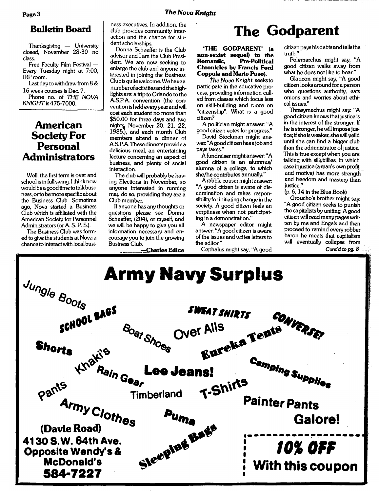Thanksgiving  $-$  University closed, November 28-30 no class.

Free Faculty Film Festival - Every Tuesday night at 7:00, IRProom.

Last day to withdraw from 8 & 16 week courses is Dec. 7.

Phone no. of THE NOVA KNIGHT is 475-7000.

# American<sup>-</sup> Society For **Personal Administrators**

Well, the first term is over and school isin full swing. Ithink now would be a good time to talkbusiness, orto bemore specific about the Business Club. Sometime ago, Nova started a Business Club which is affiliated with the American Society for Personnel Administrators (or A S. P. S.).

The Business Club was formed to give the students at Nova a chance to interactwith local busi-

ness executives. In addition, the club provides community interaction and the chance for student scholarships.

Donna Schaeffer is the Club advisor and I am the Club President We are now seeking to enlarge the club and anyone interested in joining the Business Club is quitewelcome. We have a numberofactivities andthe highlights are: a trip to Orlando to the AS.P.A convention (the convention isheld everyyearand will cost each student no more than \$50.00 for three days and two nights, November 20, 21, 22, 1985), and each month Club members attend a dinner of AS.P.A.These dinners provide a delicious meal, an entertaining lecture concerning an aspect of business, and plenty of social interaction.

The club will probably be having Elections in November, so anyone interested in running may do so, providing they are a Club member.

If anyone has any thoughts or questions please see Donna Schaeffer, (204), or myself, and we will be happy to give you all information necessary and encourage you to join the growing Business Club.

-Charles Edice

# **Bulletin Board** dub provides community inter-<br> **The Godparent**

### 'THE GODPARENT (a non-sexist sequel) to the Pre-Political Chronicles by Francis Ford Coppola and Mario Puzo).

*The Nova Knight* seeksto participate in the educative process, providing information culled from classes which focus less on skill-building and r.lore on "citizenship". What is a good citizen?

A politician might answer. "A good citizen votes for progress."

David Stockman might answer. "Agood citizen has a joband pays taxes."

Afundraiser might answer. "A good citizen is an a1umnus/ alumna of a college, to which she/he contributes annually."

Arabble-rousermight answer. "A good citizen is aware of discrimination and takes responsibility for initiating change in the society. A good citizen feels an emptiness when not participating in a demonstration."

A newspaper editor might answer. "A good citizen is aware of the issues and writes letters to the editor."

Cephalus might say, "A good

citizen pays his debts and tells the truth."

Polemarchus might say, "A good citizen walks away from what he does not like to hear."

Glaucon might say, "A good citizen looks around for a person who questions authority, eats onions and worries about ethical issues."

Thrasymachus might say: "A good citizen knowsthat justice is in the interest of the stronger. If he isstronger, he will impose justice; if she is weaker, she will yeild until she can find a bigger club than the administrator of justice. This istrue except when you are talking with sillybillies, in which case injustice (aman'sown profit and motive) has more strengthand freedom and mastery than justice."

(p. 6, 14 in the Blue Book)

Groucho's brother might say: "A good citizen seeks to punish the capitalists by uniting. A good citizen will read many pages written by me and Engels and then proceed to remind every robber baron he meets that capitalism will eventually collapse from

Cont'd to pg. 8

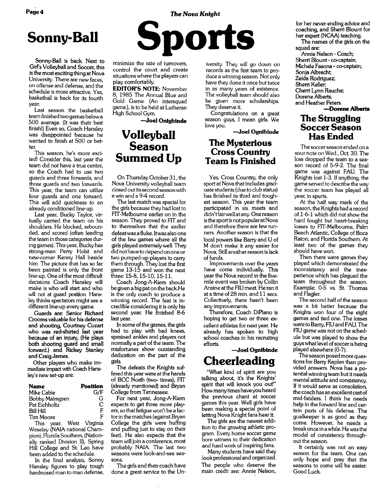# Page 4 **The** *Nova Knight*

Sonny-Ball is back Next to Girl's Volleyball and Soccer, this isthe most exciting thing at Nova University. There are new faces, on offense and defense, and the schedule is more attractive. Yes, basketball is back for its fourth year.

Last season the basketball team finished two games below a 500 average. (It was their best finish!) Even so, Coach Hansley was disappointed because he wanted to finish at 500 or better.

This season, he's more excited! Consider this, last year the team did not have a true center, so the Coach had to use two guards and three forwards, and three guards and two forwards. This year, the team can utilize four guards and one forward. This will add quickness to an already conditioned line-up.

Last year, Bucky Taylor, virtually carried the team on his shoulders. He blocked, rebounded, and scored (often leading the team in those categories during games). This year, Bucky has strong-man Perry Holst and new-comer Kenny Hall beside him. The picture that has so far been painted is only the front line-up. One of the most difficult decisions Coach Hansley will make is who will start and who will not at guard position. Hansley thinks spectators might see a different line-up every game.

Guards are: Senior Richard Crooms valuable for his defense and shooting, Courtney Cozart who was red-shirted last year because of an injury, (He plays both shooting guard and small forward.) and Rickey Stanley and Craig James.

Other players who make immediate impact with Coach Hansley's new set-up are:

| <b>Name</b>      | <b>Position</b> |
|------------------|-----------------|
| Mike Cable       | G/F             |
| Bobby Malmgren   | G               |
| Pat Eichholtz    | C               |
| <b>Bill Hill</b> | F               |
| Tim Moore.       | F               |

This year, West Virginia Weseley (NAIA national Champion), Florida Southern, (Nationally ranked Division II), Spring Hill College and St. Leo have been added to the schedule.

In the final analysis, Sonny Hansley figures to play tough hardnosed man to man defense,



minimize the rate of turnovers, control the court and create situationswhere the players can play comfortably.

**EDITOR'S NOTE:** November 8, 1985 The Annual Blue and Gold Game. (An intersquad game.), Is to be held at Lutheran High School Gym.

**-Joel Onlgblnde**

# **Volleyball Season** Summed Up

On Thursday October 31, the Nova University volleyball team closed outitssecond season with a win and a 9-4 record.

The last match was special for the girls because they had lost to FIT-Melbourne earlier on in the season. They proved to FIT and to themselves that the earlier defeatwas a fluke. Itwas also one of the few games where all the girls played extremely well. They did not have to depend on one or two pumped-up players to carry them through. They lost the first game 13-15 and won the next three: 15-8, 15-10, 15-11.

Coach Jong-A-Kiem should be given a big pat on the back.He is the only coach to produce a winning record. The feat is incredible consideting it is only his second year. He finished 8-6 last year.

In some of the games, the girls had to play with bad knees, sprained ankles and players not normally a part of the team. The misfortunes show outstanding dedication on the part of the girls.

The defeats the Knights suffered this year were at the hands of BCC North (two- times), FIT (already mentioned) and Bryan College from Tennessee.

For next year, Jong-A-Kiem expects to get three more players, so that fatigue won't be a factorin the matches(against Bryan College the girls were huffing and puffing just to stay on their feet). He also expects that the team will join a conference, most probably NAIA The last two seasons were look-and-see seasons.

The girls and their coach have done a great service to the Un-

iversity. They will go down on records as the first team to produce a winning season. Not only have they done it once but twice in as many years of existence. The volleyball team should also be given more scholarships. They deserve it.

Congratulations on a great season guys, I mean girls. We love you.

**-Joel Ognibinde**

# **The Mysterious Cross Country Team Is Finished**

Yes, Cross Country, the only sport at Nova that includes graduate students(due to club status) has finished its third and toughest season. This year the team participated in six meets and didn'tfairwell at any. One reason isthe sportis not popularatNova and therefore there are few runners. Another reason is that the local powers like Barry and U of M don't make it any easier for Nova. Still anotherreason is lack of funds.

Improvements over the years have come individually. This year the Nova record in the fivemile event was broken by Collin Ansine at the RU meet. He ran it at a time of 28 min. and 11 secs. Collectively, there hasn't been any improvements.

Therefore, Coach DiPiano is hoping to get two or three excellent athletes for next year. He already has spoken to high school coaches in his recruiting efforts.

# **-Joel Ogniblnde Cheerleading**

"What kind of spirit are you talking about, it's the Knights' spirit that will knock you out!" Howmany times have you heard the previous chant at soccer games this year. Well girls have been making a special point of letting Nova Knight fans hear it.

The girls are the newest addition to the growing athletic program. Every home soccer game bore witness to their dedication and hard work of inspiting fans.

Many students have said they look professional and organized. The people who deserve the main credit are: Annie Nelson, for her never ending advice and coaching, and Sherri Blount for her expert (NCAA) teaching.

The names of the girls on the squad are:

Annie Nelson - Coach; Sherri Blount - co-captain; Michele Fasona - co-captain; Sonja Albrecht; Zeida Rodriguez; Sherri Keller; Cherri Lynn Rauche; Dorene Alberts; and Heather Peters. **-Dorene Alberts**

# **The Struggling Soccer Season** Has Ended

The soccerseason ended on a sour note on Wed., Oct. 30. The loss dropped the team to a season record of 5-9-2. The final game was against FAU. The Knights lost 1-3. If anything, the game served to describe the way the soccer team has played all year; in spurts.

At the half way mark of the season, the Knights had a record of 1-6-1 which did not show the hard fought but heart-breaking losses to FIT-Melbourne, Palm Beach Atlantic, College of Boca Raton, and Rotida Southem. At least two of the games they should have won.

Then there were games they played which demonstrated the inconsistancy and the inexperience which has plagued the team throughout the season. Example: 0-5 vs. St Thomas and Ragler.

The second half of the season was a bit better because the Knights won four of the eight games and tied one. The losses were to Barry, RU and FAU. The RU game was not on the schedule but was played to show the guys what level of soccer is being played elsewhere (0-7).

The season posed more questions for Barry Kaplan than provided answers. Nova has a potential winning team but it needs . mental attitude and consistency. If it would serve as consolation, the coach has an excellent castof mid-fielders. I think he needs help in the forward line and certain parts of his defense. The goalkeeper is as good as they come. However, he needs a break once in a while. He wasthe model of consistency throughout the season.

It certainly was not an easy season for the team. One can only hope and pray that the seasons to come will be easier. Good Luck.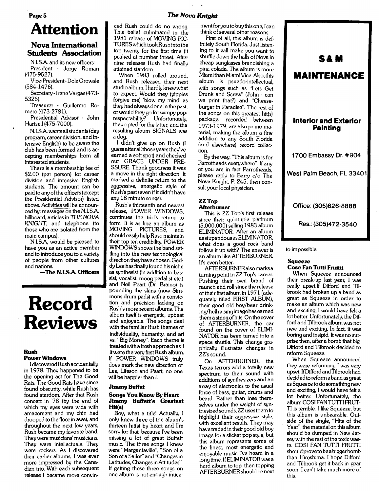# Page 5 The *Nova Knight*

**Attention**

# Nova International Students Association

N.I.SA and its new officers: President - Jorge Roman (475-9527).

Vice-President-DolaOrowale (584-1476).

Secretary - Irene Vargas (473-5326).

Treasurer - Guillermo Romero (473-2781).

Presidential Advisor - John Hartsell (475-7000).

N.I.SA wants allstudents(day program, career division, and Intensive English) to be aware the club has been formed and is accepting memberships from all interested students.

There is a membership fee of \$2.00 (per person) for career division and intensive English students. The amount can be paid to any of the officers (except the Presidential Advisor) listed above. Activities will be announced by: messages on the N.I.S.A. billboard, articles in THE NOVA KNIGHT, and telephone (to those who are isolated from the main campus).

N.I.SA would be pleased to have you as an active member and to introduce you to a variety of people from other cultures and nations.

-The N.LSA Officers

# **Record Reviews**

#### Rush Power Windows

Idiscovered Rush accidentally in 1978. They happened to be the opening act for The Good Rats. The Good Rats have since found obscurity, while Rush has found stardom. After that Rush concert in '78 (by the end of which my eyes were wide with amazement and my chin had drooped to the floor in awe), and throughout the next few years, Rush became my favorite band. They were musicians' musicians. They were intellectuals. They were rockers. As I discovered their earlier albums, I was ever more impressed by the Canadian trio. With each subsequent release I became more convinced Rush could do no wrong. This belief culminated in the 1981 release of MOVING PIC-TURESwhich tookRush into the top twenty for the first time (it peaked at number three). After nine releases Rush had finally attained stardom.

When 1983 rolled around, and Rush released their next studio album, Ihardly knewwhat to expect. Would they (yippies forgive me) 'blow my mind' as they had always done in the past, orwould they go for wimpy poprespectability? Unfortunately, they opted for the latter, and the resulting album SIGNALS was a dog.

I didn't give up on Rush (I guess after all those years they've earned a soft spot) and checked out GRACE UNDER PRE-SSURE. Thank goodness it was a move in the right direction. It marked a definite return to the aggressive, energetic style of Rush's past (even if it didn't have any 18 minute songs).

Rush's thirteenth and newest release, POWER WINDOWS, continues the trio's return to form. It is as fine an album as<br>MOVING PICTURES, and PICTURES, and should easily helpRush maintain their top ten credibility. POWER WINDOWS shows the band settling into the new technological direction they have chosen. Geddy Lee hasfinally found his niche as synthesist (in addition to bassist, vocalist, moog pedalist etc.) and Neil Peart (Dr. Braino) is pounding the skins (now Simmons drum pads) with a conviction and precision lacking on Rush's more recent albums. The album itself is energetic, upbeat and enjoyable. The songs deal with the familiar Rush themes of individuality, humanity, and art vs. "Big Money". Each theme is treatedwith a fresh approach asif it were the very first Rush album. If POWER WINDOWS truly does mark the new direction of Lee, Lifeson and Peart, no one will be happier than I.

#### **Jimmy Buffet**

#### Songs You Know By Heart Jimmy Buffett's Greatest Hlt(s)

Boy, what a title! Actually, I only knew three of the album's thirteen hit(s) by heart and I'm sorry for that, because I've been missing a lot of great Buffett music. The three songs I knew were "Margaritaville", "Son of a Son of a Sailor" and "Changesin Latitudes, Changesin Attitudes". If getting these three songs on one album is not enough intice-

mentforyou to buythis one, Ican think of several other reasons.

First of all, this album is definitely South Rorida. Just listening to it will make you want to shuffle down the halls of Nova in cheap sunglasses brandishing a pina colada. The album is more Miami than Miami Vice. Also, this album is psuedo-intellectual, with songs such as "Lets Get Drunk and Screw" (John - can we print that?) and "Cheeseburger in Paradise". The rest of the songs on this greatest hit(s) package, recorded between 1973-1979, are also primo material, making the album a fine addition to any South Florida (and elsewhere) record collection.

By the way, "This album is for Parrotheads everywhere". If any of you are in fact Parrotheads, please reply to Barry c/o The Nova Knight, P. 245, then consult your local physician.

#### ZZTop **Afterburner**

This is ZZ Top's first release since their quintuple platinum (5,000,000) selling 1983 album ELIMINATOR. After an album asstupendous as ELIMINATOR, what does a good rock band follow it up with? The answer is an album like AFTERBURNER. It's even better.

AFTERBURNERalso marks a turning point in ZZ Top's career. Pushing their own brand of raunch and roll since the release of their first album in 1971 (adequately titled FIRST ALBUM), their good old boy/beer drinking/hellraisingimage has earned them a string of hits. On the cover of AFTERBURNER, the car found on the cover of ELIMI-NATOR has been turned into a space shuttle. This change graphically illustrates changes in ZZ's sound.

On AFTERBURNER, the Texas terrors add a totally new spectrum to their sound with additions of synthesizers and an array of electronics to the usual force of bass, guitar, drums and beard. Rather than lose themselves under the weight of synthesized sounds, ZZ usesthemto highlight their aggressive style, with excellent results. They may have traded in their good old boy image for a slicker pop style, but this album represents some of the finest, most energetic and enjoyable music I've heard in a long time. If ELIMINATOR was a hard album to top, then topping AFTERBURNERshould be next

| S&M<br><b>MAINTENANCE</b>                |
|------------------------------------------|
| <b>Interior and Exterior</b><br>Painting |
| 1700 Embassy Dr. #904                    |
| West Palm Beach, FL 33401                |
| Office: (305)626-8888                    |
| Res.: (305)472-3540                      |

to impossible.

### Squeeze Cose Fan Tutti Frulttl

When Squeeze announced their break-up last year, I was really upset.If Difford and Tilbrook had broken up a band as great as Squeeze in order to make an album which was new and exciting, I would have felt a lot better. Unfortunately, the Difford and Tilbrook album was not new and exciting. In fact, it was boring and insipid. It was no surprise then, after a bomb that big, Difford and Tilbrook decided to reform Squeeze.

When Squeeze announced they were reforming, I was very upset. IfDifford andTilbrook had decided to reforma band as great as Squeeze to dosomething new and exciting, I would have felt a lot better. Unfortunately, the album COSI FAN TUTTI FRUT-TI is terrible. I like Squeeze, but this album is unbearable. Outside of the single, "Hits of the Year", the material on this album should be dumped in New Jersey with the rest of the toxic waste. COSI FAN TUTTI FRUTTI should prove to be a biggerbomb than Hiroshima. I hope Difford and Tilbrook get it back in gear soon. I can't take much more of this.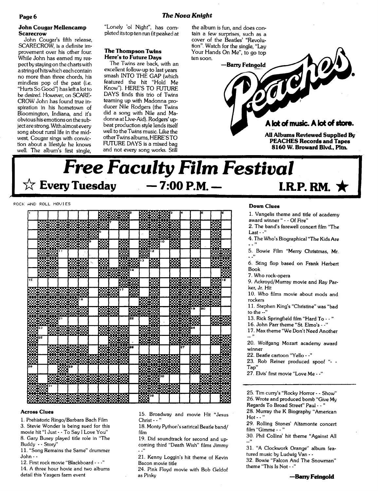#### **John Cougar MeUencamp Scarecrow**

John Cougar's fifth release, SCARECROW, is a definite improvement over his other four. While John has earned my res· pect by staying on the charts with a stringofhitswhich each contain no more than three chords, his mindless pop of the past (i.e. "Hurts So Good") has left a lotto be desired. However, on SCARE-CROW John has found true inspiration in his hometown of Bloomington, Indiana, and it's obvious his emotions on the subject are strong. With almost every song about rural life in the midwest, Cougar sings with convic· tion about a lifestyle he knows well. The album's first single,

"Lonely '01 Night", has com· pleted itstop ten run (it peaked at

### **The Thompson Twins Here's to Future Days**

The Twins are back, with an excellent follow· up to last years smash INTO THE GAP (which featured the hit "Hold Me Know"). HERE'S TO FUTURE DAYS finds this trio of Twins teaming up with Madonna pro· ducer Nile Rodgers (the Twins did a song with Nile and Ma· donna at Live-Aid). Rodgers' up· beat production style lends itself well to the Twins music. Like the otherTwins albums, HERE'STO FUTURE DAYS is a mixed bag and not every song works. Still

the album is fun, and does contain a few surprises, such as a cover of the Beatles' "Revolution". Watch for the single, "Lay Your Hands On Me", to go top ten soon.

Tely —Barry Feingold

# A lot of music. A lot of store.

**AU Albums Reviewed Suppbed By PEACHES Records and Tapes 8160 W. Broward Blvd, P1tn.**

# **Free Faculty Film Festival**<br>★ Every Tuesday – 7:00 P.M. – LR **I.R.P. RM.**  $\star$

#### POCK AND ROLL 110VI ES

|    |             |          |                                |                   |         |                                                                                                                                                                                                                                |     | f      | ı.       |                                          |                  |       |             |                  |        |                                                                                                                                                                                                                                 |                  |         |
|----|-------------|----------|--------------------------------|-------------------|---------|--------------------------------------------------------------------------------------------------------------------------------------------------------------------------------------------------------------------------------|-----|--------|----------|------------------------------------------|------------------|-------|-------------|------------------|--------|---------------------------------------------------------------------------------------------------------------------------------------------------------------------------------------------------------------------------------|------------------|---------|
|    |             |          |                                |                   |         |                                                                                                                                                                                                                                |     |        |          |                                          |                  |       | ≅           |                  |        |                                                                                                                                                                                                                                 |                  |         |
|    |             |          | alar başlanması                |                   |         |                                                                                                                                                                                                                                |     | ▒      |          |                                          | U,               | ▩▩    |             |                  | 醊      |                                                                                                                                                                                                                                 | 憠                |         |
|    |             |          |                                |                   |         | ś                                                                                                                                                                                                                              |     |        |          |                                          |                  | 83    |             |                  | ▒      |                                                                                                                                                                                                                                 | ₿₿.              |         |
|    |             |          |                                |                   |         |                                                                                                                                                                                                                                |     |        |          |                                          |                  |       |             |                  | г<br>÷ |                                                                                                                                                                                                                                 | æ                |         |
|    |             |          | ▒▒▒▒                           |                   |         | 羉                                                                                                                                                                                                                              |     | 殩      |          | ▒                                        |                  | 10    | ▩           |                  | ▒      |                                                                                                                                                                                                                                 |                  |         |
|    |             |          |                                |                   |         |                                                                                                                                                                                                                                |     |        |          | XX                                       | 12               |       |             |                  |        |                                                                                                                                                                                                                                 |                  | حبوه    |
|    |             |          |                                |                   |         |                                                                                                                                                                                                                                |     | œ      |          |                                          |                  |       |             |                  |        |                                                                                                                                                                                                                                 | ß                | 83      |
|    |             |          |                                | ▓▓                |         | e de la provincia de la construcción de la construcción de la construcción de la construcción de la construcción de la construcción de la construcción de la construcción de la construcción de la construcción de la construc |     |        |          | 13                                       | 殩                |       | 殩           |                  | 殩      |                                                                                                                                                                                                                                 | ▩                |         |
|    |             |          |                                |                   |         |                                                                                                                                                                                                                                |     |        |          |                                          |                  |       |             |                  |        |                                                                                                                                                                                                                                 |                  |         |
|    |             |          |                                |                   |         |                                                                                                                                                                                                                                |     |        |          |                                          |                  |       |             |                  |        |                                                                                                                                                                                                                                 |                  | P9.     |
| 15 |             |          |                                |                   | a sa sa |                                                                                                                                                                                                                                |     |        |          |                                          |                  |       |             |                  |        |                                                                                                                                                                                                                                 |                  | e e Pro |
|    |             |          |                                |                   |         |                                                                                                                                                                                                                                |     |        | 838<br>- |                                          | ▒                |       | D           |                  | ▒▒▒    |                                                                                                                                                                                                                                 | िल्लेख<br>संस्कृ |         |
|    |             |          |                                |                   |         | ▓▓                                                                                                                                                                                                                             |     | 17     | ▩        |                                          | с                |       |             |                  |        |                                                                                                                                                                                                                                 |                  |         |
|    |             |          |                                |                   |         |                                                                                                                                                                                                                                |     |        |          |                                          | Ø.               |       |             | ææ               |        |                                                                                                                                                                                                                                 |                  |         |
|    |             |          |                                | <del>йницт.</del> |         |                                                                                                                                                                                                                                |     |        |          |                                          |                  |       |             |                  |        |                                                                                                                                                                                                                                 |                  |         |
|    |             |          |                                |                   |         |                                                                                                                                                                                                                                |     |        |          |                                          | –                |       |             | . .              | 19     | 20                                                                                                                                                                                                                              |                  |         |
|    |             |          |                                |                   | ▩▩      |                                                                                                                                                                                                                                | ▒▒  |        |          | ▩▩                                       |                  |       | 31          | œ<br>–           |        |                                                                                                                                                                                                                                 |                  |         |
|    |             |          | 21                             |                   |         |                                                                                                                                                                                                                                |     |        | 22       |                                          |                  |       |             | BM)              |        |                                                                                                                                                                                                                                 | --<br>۲×<br>Œ    | 39      |
|    |             |          |                                |                   |         |                                                                                                                                                                                                                                |     |        |          |                                          |                  |       |             |                  |        |                                                                                                                                                                                                                                 | Ŧ<br>٩           |         |
|    |             |          | ▒▒▒▒▒                          |                   |         |                                                                                                                                                                                                                                | ▩▩▩ |        |          | ▓▓                                       | <b>DIST</b><br>æ |       |             | ورو م<br>47<br>Œ | ż۵     |                                                                                                                                                                                                                                 |                  |         |
|    | 25          |          |                                |                   |         |                                                                                                                                                                                                                                |     |        |          |                                          |                  |       |             |                  |        |                                                                                                                                                                                                                                 | . .              |         |
|    |             |          |                                |                   |         |                                                                                                                                                                                                                                |     |        |          | ▓▓                                       |                  |       |             | FANK             |        |                                                                                                                                                                                                                                 | ▩▓<br>۰,         |         |
| ▒  |             |          |                                |                   |         | C.                                                                                                                                                                                                                             |     | г<br>₩ |          |                                          |                  |       |             | 27               |        |                                                                                                                                                                                                                                 |                  | 靉       |
|    |             |          | ▒▒▒▒▒                          |                   |         |                                                                                                                                                                                                                                | ▒.  |        |          |                                          |                  |       |             |                  |        |                                                                                                                                                                                                                                 |                  |         |
|    |             | F        | ▓▓▓                            |                   |         |                                                                                                                                                                                                                                |     |        |          |                                          | للمتعربين        |       |             |                  | 蹨      |                                                                                                                                                                                                                                 |                  |         |
|    |             |          |                                |                   |         |                                                                                                                                                                                                                                |     |        |          |                                          |                  |       |             |                  |        |                                                                                                                                                                                                                                 |                  |         |
| 28 |             |          | 蹨                              |                   |         |                                                                                                                                                                                                                                |     |        |          |                                          |                  | ▓▓▓▓▓ |             |                  | ▒      |                                                                                                                                                                                                                                 |                  | ŦX      |
|    |             |          | king.                          |                   |         |                                                                                                                                                                                                                                |     |        |          |                                          |                  |       | aan.<br>. . |                  |        |                                                                                                                                                                                                                                 |                  |         |
| ▧  |             |          |                                |                   |         |                                                                                                                                                                                                                                |     |        |          | 1999-1999<br>1999-1999<br>1999-1999-1999 |                  |       |             |                  |        | v.                                                                                                                                                                                                                              | XP.              |         |
|    | <b>STOR</b> | $\geq t$ |                                |                   |         |                                                                                                                                                                                                                                |     |        |          |                                          |                  | ▓▓▓▓▓ |             |                  |        |                                                                                                                                                                                                                                 |                  |         |
|    |             |          |                                |                   |         |                                                                                                                                                                                                                                |     |        |          |                                          |                  |       |             |                  |        | en de la política de la concelho de la concelho de la concelho de la concelho de la concelho de la concelho d<br>De la concelho de la concelho de la concelho de la concelho de la concelho de la concelho de la concelho de la |                  |         |
|    |             |          | <u> Martin Martin Martin I</u> |                   |         |                                                                                                                                                                                                                                |     |        |          | ▓▓                                       |                  |       |             |                  |        |                                                                                                                                                                                                                                 |                  | 谈       |
|    |             |          |                                |                   |         |                                                                                                                                                                                                                                |     |        |          |                                          |                  |       |             |                  |        |                                                                                                                                                                                                                                 |                  |         |

#### **Across Clues**

1. Prehistoric Ringo/Barbara Bach Film

3. Stevie Wonder is being sued for this movie hit "I Just· . To Say I Love You"

8. Gary Busey played title role in "The Buddy • - Story"

11. "Song Remains the Same" drummer John· .

12. First rock movie "Blackboard· .."

14. A three hour hovie and two albums detail this Yasgers farm event

15. Broadway and movie Hit "Jesus  $Christ \cdot \cdot$ "

18. Monty Python'ssatirical Beatie band/ film

19. Did soundtrack for second and up· coming third "Death Wish" films Jimmy "

21. Kenny Loggin's hit theme of Kevin Bacon movie title

24. Pink Floyd movie with Bob Geldof as Pinky

### **Down Clues**

1. Vangelis theme and title of academy award winner" - . Of Fire"

2. The band's farewell concert film "The Last - -"

4. The Who's Biographical "The Kids Are

5. Bowie Film "Merry Christmas, Mr.

6. Sting flop based on Frank Herbert Book

7. Who rock·opera

9. Ackroyd/Murray movie and Ray Par· ker, Jr. Hit

10. Who films movie about mods and rockers

11. Stephen King's "Christine" was "bad to the  $\cdot$ ."

13. Rick Springfield film "Hard To - . "

16. John Parr theme "St. Elmo's· ."

17. Max theme "We Don't Need Another

20. Wolfgang Mozart academy award winner

22. Beatle cartoon "Yello· ."

23. Rob Reiner produced spoof " Tap"

27. Elvis' first movie "Love Me - -"

25. Tim curry's "Rocky Horror - . Show" 26. Wrote and produced bomb "Give My Regards To Broad Street" Paul· . "

28. Murray the K Biography "American Hot·· "

29. Rolling Stones' Altamonte concert film "Gimme - - "

30. Phil Collins' hit theme "Against All  $\mathbf{L}^{\prime}$ 

31. "A Clockwork Orange" album fea· tured music by Ludwig Van  $\cdots$ 

32. Bowie "Falcon And The Snowman" theme "This Is Not· ."

**-Barry Feingold**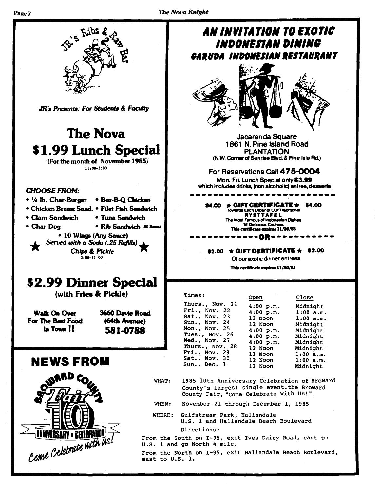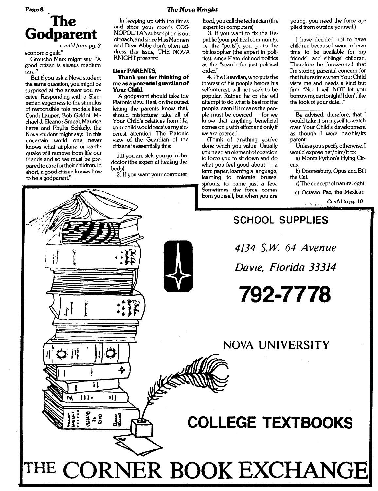### *The Nova Knight*

# **The Godparent** *cont'd from* pg. 3

economic quilt."

Groucho Marx might say: "A good citizen is always medium rare."

But if you ask a Nova student the same question, you might be surprised at the answer you receive. Responding with a Skinnerian eagemess to the stimulus of responsible role models like: Cyndi Lauper, Bob Geldof, Michael J, Eleanor Smeal, Maurice Ferre and Phyllis Schlafly, the Nova student might say: "In this uncertain world one never knows what airplane or earthquake will remove from life our friends and so we must be prepared tocare fortheir children. In short, a good citizen knows how to be a godparent"

In keeping up with the times, and since your mom's COS-MOPOLITANsubscription is out ofreach, and since MissManners and Dear Abby don't often ad· dress this issue, THE NOVA KNIGHT presents:

#### **Dear PARENTS,**

#### **Thank you for thinking of** me as a potential quardian of **Your Child.**

A godparent should take the Platonic view, Ifeel, on the outset letting the parents know that, should misfortune take all of Your Child's relatives from life, your child would receive my sincerest attention. The Platonic view of the Guardian of the citizens is essentially this:

l.If you are sick, you go to the doctor (the expert at healing the body).

2. If you want your computer

fixed, you call the technician (the expert for computers).

3. If you want to fix the Republic (your political community, i.e. the "polis"), you go to the philosopher (the expert in politics), since Plato defined politics as the "search for just political order."

4. The Guardian, who putsthe interest of his people before his self-interest, will not seek to be popular. Rather, he or she will attempt to do what is best forthe people, even if it means the people must be coerced  $-$  for we know that anything beneficial comes onlywith effort and only if we are coerced.

(Think of anything you've done which you value. Usually you need an element of coercion to force you to sit down and do what you feel good about  $-$  a term paper, learning a language,<br>learning to tolerate brussel dearning to to be a godparent."<br>
The sprouts, to name just a few.<br>
Sometimes the force comes from yourself, but when you are young, you need the force applied from outside yourself.)

I have decided not to have children because I want to have time to be available for my friends', and siblings' children. Therefore be forewarned that I'm storing parental concern for that future time when Your Child visits me and needs a kind but firm "No, I will NOT let you borrowmycartonight! Idon'tlike the look of your date..."

Be advised, therefore, that I would take it on myself to watch over Your Child's development as though I were her/his/its parent

Unlessyou specify otherwise, I would expose her/him/it to:

a) Monte Python's Flying Circus.

b) Doonesbury, Opus and Bill the Cat.

c) The concept of natural right.



**PageS**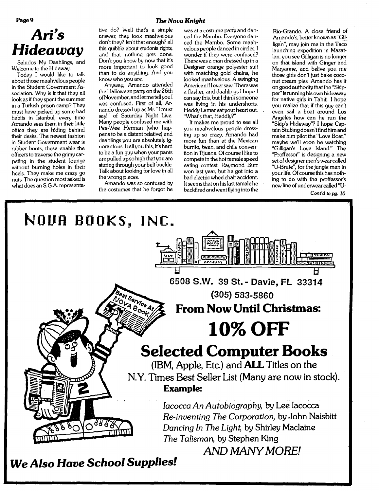# *Ari's Hideaway*

Saludos My Daahlings, and Welcome to the Hideway.

Today I would like to talk about those maahvelous people in the Student Government Association. Why is it that they all look as if they spent the summer in a Turkish prison camp? They must have picked up some bad habits in Istanbul, every time Amando sees them in their little office they are hiding behind their desks. The newest fashion in Student Government wear is rubber boots, these enable the officers to traverse the grimy carpeting in the student lounge without burning holes in their heels. They make me crazy go nuts. The question most asked is what does an S.G.A representative do? Well that's a simple was at a costume party and dan-<br>answer, they look maahvelous ced the Mambo. Everyone dandon't they? Isn't that enough? all<br>this quibble about students rights,

the Halloween party on the 26th<br>of November, and let me tell you I ofNovember, and letmetell you I can say this, but I think someone<br>was confused. First of all, Ar- was living in his undershorts. was confused. First of all, Ar- was living in his undershorts.<br>
nando dressed up as Mr. "I must Heddy Lamar eat your heart out. say!" of Saturday Night Live.<br>Many people confused me with Many people confused me with It makes me proud to see all<br>Pee-Wee Herman (who hap- It wou maahvelous people dress-Pee-Wee Herman (who hap- you maahvelous people dress-<br>pensito bela distanti relative) and lot ing up so crazy. Amando had to be a fun guy when your pants<br>are pulled up so high that you are

the costumes that he forgot he

answer, they look maahvelous ced the Mambo. Everyone dan-<br>don't they? Isn't that enough? all ced the Mambo. Some maahthis quibble about students rights, velous people danced in circles, I<br>and that nothing gets done. wonder if they were confused? and that nothing gets done. wonder if they were confused?<br>Don't you know by now that it's There was a man dressed up in a Don't you know by now that it's There was a man dressed up in a<br>more important to look good Designer orange polyester suit more important to look good Designer orange polyester suit than to do anything. And you with matching gold chains, he than to do anything. And you with matching gold chains, he know who you are.  $\frac{1}{100}$  looked maahvelous. A swinging looked maahvelous. A swinging<br>American if Leversaw. There was Anyway, Amando attended American if Ieversaw. There was<br>e Halloween party on the 26th a flasher, and daahlings I hope I Heddy Lamar eat your heart out.<br>"What's that, Heddly?"

pensto be a distant relative) and ing up so crazy, Amando had daahlings you are absolutely ig- more fun than at the Mexican burrito, bean, and chile conven-<br>tion in Tijuana. Of course I like to are pulled upso high that you are compete in the hot tamale speed<br>staring through your belt buckle. eating contest. Raymond Burr staring through your belt buckle. eating contest. Raymond Burr<br>Talk about looking for love in all ewon last year, but he got into a Talk about looking for love in all won last year, but he got into a<br>the wrong places. bad electric wheelchair accident. bad electric wheelchair accident.<br>It seems that on his last tamale he Amando was so confused by Itseems that on his last tamale he<br>e costumes that he forgot he backfired and went flying into the

Rio-Grande. A close friend of Amando's, better known as "Gil: ligan", may join me in the Taco launching expedition in Mazat-Ian; you see Gilligan is no longer on that island with Ginger and Maryanne, and belive you me those girls don't just bake coconut cream pies. Amando has it on good authority thatthe "Skipper" isrunning his own hideaway for native girls in Tahiti. I hope you realize that if this guy can't even sail a boat around Los Angeles how can he run the "Skip's Hideway"? I hope CaptainStubingdoesn'tfind himand make him pilot the "Love Boat," maybe we'll soon be watching "Gilligan's Love Island." The "Proffessor" is designing a new set of designermen's wear called "V-Brute", for the jungle man in yourlife. Of course this has nothing to do with the proffessor's new line of underwear called"V-

Cont'd to pg. 10